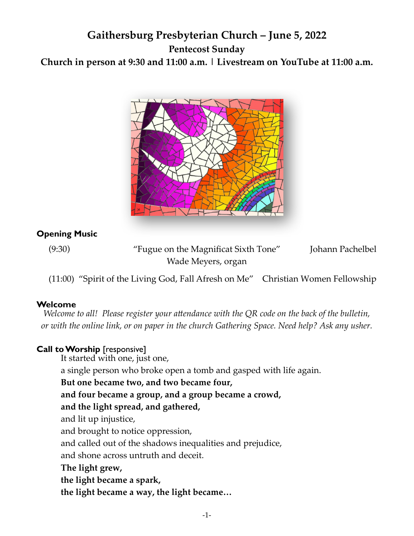# **Gaithersburg Presbyterian Church – June 5, 2022 Pentecost Sunday Church in person at 9:30 and 11:00 a.m. | Livestream on YouTube at 11:00 a.m.**



#### **Opening Music**

(9:30) "Fugue on the Magnificat Sixth Tone" Johann Pachelbel Wade Meyers, organ

(11:00) "Spirit of the Living God, Fall Afresh on Me" Christian Women Fellowship

#### **Welcome**

*Welcome to all! Please register your attendance with the QR code on the back of the bulletin, or with the online link, or on paper in the church Gathering Space. Need help? Ask any usher.*

#### **Call to Worship** [responsive]

It started with one, just one,

a single person who broke open a tomb and gasped with life again.

**But one became two, and two became four,** 

**and four became a group, and a group became a crowd,** 

#### **and the light spread, and gathered,**

and lit up injustice,

and brought to notice oppression,

and called out of the shadows inequalities and prejudice,

and shone across untruth and deceit.

**The light grew,** 

**the light became a spark,** 

**the light became a way, the light became…**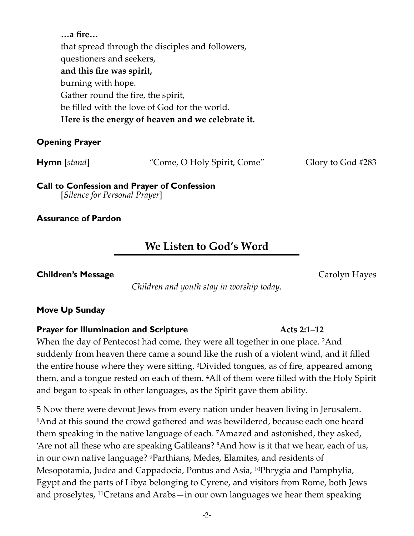**…a fire…**  that spread through the disciples and followers, questioners and seekers, **and this fire was spirit,**  burning with hope. Gather round the fire, the spirit, be filled with the love of God for the world. **Here is the energy of heaven and we celebrate it.** 

#### **Opening Prayer**

**Hymn** [*stand*] "Come, O Holy Spirit, Come" Glory to God #283

**Call to Confession and Prayer of Confession**  [*Silence for Personal Prayer*]

**Assurance of Pardon** 

# **We Listen to God's Word**

**Children's Message**  Carolyn Hayes

*Children and youth stay in worship today.* 

#### **Move Up Sunday**

#### **Prayer for Illumination and Scripture Acts 2:1–12 Acts** 2:1–12

When the day of Pentecost had come, they were all together in one place. <sup>2</sup>And suddenly from heaven there came a sound like the rush of a violent wind, and it filled the entire house where they were sitting.  $3$ Divided tongues, as of fire, appeared among them, and a tongue rested on each of them. 4All of them were filled with the Holy Spirit and began to speak in other languages, as the Spirit gave them ability.

5 Now there were devout Jews from every nation under heaven living in Jerusalem. 6And at this sound the crowd gathered and was bewildered, because each one heard them speaking in the native language of each. 7Amazed and astonished, they asked, 'Are not all these who are speaking Galileans? 8And how is it that we hear, each of us, in our own native language? 9Parthians, Medes, Elamites, and residents of Mesopotamia, Judea and Cappadocia, Pontus and Asia, 10Phrygia and Pamphylia, Egypt and the parts of Libya belonging to Cyrene, and visitors from Rome, both Jews and proselytes, 11Cretans and Arabs—in our own languages we hear them speaking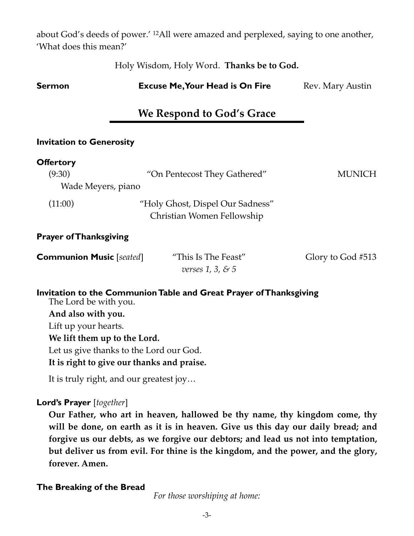about God's deeds of power.' 12All were amazed and perplexed, saying to one another, 'What does this mean?'

Holy Wisdom, Holy Word. **Thanks be to God.**

| <b>Sermon</b>                                                      | <b>Excuse Me, Your Head is On Fire</b>                         | Rev. Mary Austin  |  |  |
|--------------------------------------------------------------------|----------------------------------------------------------------|-------------------|--|--|
|                                                                    | We Respond to God's Grace                                      |                   |  |  |
| <b>Invitation to Generosity</b>                                    |                                                                |                   |  |  |
| <b>Offertory</b><br>(9:30)<br>Wade Meyers, piano                   | "On Pentecost They Gathered"                                   | <b>MUNICH</b>     |  |  |
| (11:00)                                                            | "Holy Ghost, Dispel Our Sadness"<br>Christian Women Fellowship |                   |  |  |
| <b>Prayer of Thanksgiving</b>                                      |                                                                |                   |  |  |
| <b>Communion Music</b> [seated]                                    | "This Is The Feast"<br>verses $1, 3, 85$                       | Glory to God #513 |  |  |
| Invitation to the Communion Table and Great Prayer of Thanksgiving |                                                                |                   |  |  |

**Invitation to the Communion Table and Great Prayer of Thanksgiving**  The Lord be with you.

**And also with you.** Lift up your hearts. **We lift them up to the Lord.** Let us give thanks to the Lord our God.

**It is right to give our thanks and praise.** 

It is truly right, and our greatest joy…

#### **Lord's Prayer** [*together*]

**Our Father, who art in heaven, hallowed be thy name, thy kingdom come, thy will be done, on earth as it is in heaven. Give us this day our daily bread; and forgive us our debts, as we forgive our debtors; and lead us not into temptation, but deliver us from evil. For thine is the kingdom, and the power, and the glory, forever. Amen.** 

#### **The Breaking of the Bread**

*For those worshiping at home:*